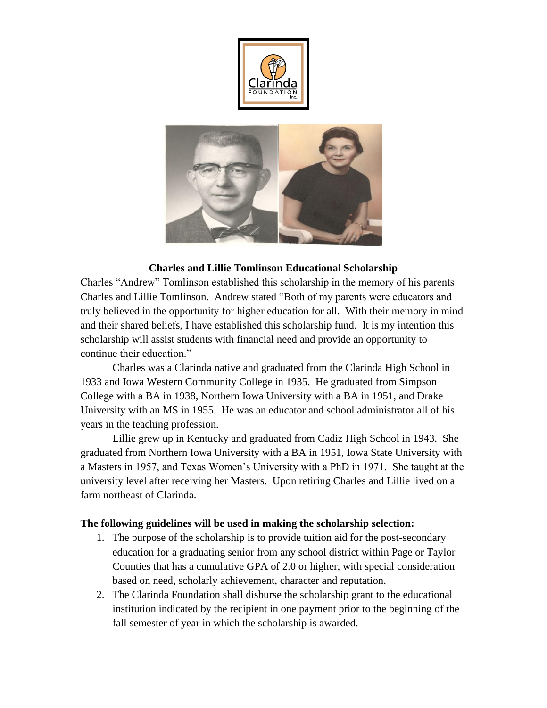



## **Charles and Lillie Tomlinson Educational Scholarship**

Charles "Andrew" Tomlinson established this scholarship in the memory of his parents Charles and Lillie Tomlinson. Andrew stated "Both of my parents were educators and truly believed in the opportunity for higher education for all. With their memory in mind and their shared beliefs, I have established this scholarship fund. It is my intention this scholarship will assist students with financial need and provide an opportunity to continue their education."

Charles was a Clarinda native and graduated from the Clarinda High School in 1933 and Iowa Western Community College in 1935. He graduated from Simpson College with a BA in 1938, Northern Iowa University with a BA in 1951, and Drake University with an MS in 1955. He was an educator and school administrator all of his years in the teaching profession.

Lillie grew up in Kentucky and graduated from Cadiz High School in 1943. She graduated from Northern Iowa University with a BA in 1951, Iowa State University with a Masters in 1957, and Texas Women's University with a PhD in 1971. She taught at the university level after receiving her Masters. Upon retiring Charles and Lillie lived on a farm northeast of Clarinda.

## **The following guidelines will be used in making the scholarship selection:**

- 1. The purpose of the scholarship is to provide tuition aid for the post-secondary education for a graduating senior from any school district within Page or Taylor Counties that has a cumulative GPA of 2.0 or higher, with special consideration based on need, scholarly achievement, character and reputation.
- 2. The Clarinda Foundation shall disburse the scholarship grant to the educational institution indicated by the recipient in one payment prior to the beginning of the fall semester of year in which the scholarship is awarded.